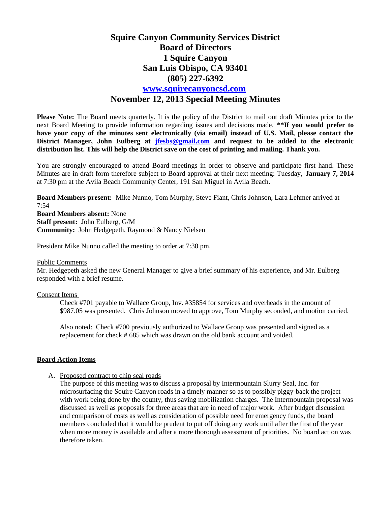# **Squire Canyon Community Services District Board of Directors 1 Squire Canyon San Luis Obispo, CA 93401 (805) 227-6392 [www.squirecanyoncsd.com](http://www.squirecanyoncsd.com/) November 12, 2013 Special Meeting Minutes**

**Please Note:** The Board meets quarterly. It is the policy of the District to mail out draft Minutes prior to the next Board Meeting to provide information regarding issues and decisions made. **\*\*If you would prefer to have your copy of the minutes sent electronically (via email) instead of U.S. Mail, please contact the District Manager, John Eulberg at [jfesbs@gmail.com](mailto:jfesbs@gmail.com) and request to be added to the electronic distribution list. This will help the District save on the cost of printing and mailing. Thank you.** 

You are strongly encouraged to attend Board meetings in order to observe and participate first hand. These Minutes are in draft form therefore subject to Board approval at their next meeting: Tuesday, **January 7, 2014** at 7:30 pm at the Avila Beach Community Center, 191 San Miguel in Avila Beach.

**Board Members present:** Mike Nunno, Tom Murphy, Steve Fiant, Chris Johnson, Lara Lehmer arrived at 7:54

**Board Members absent:** None **Staff present:** John Eulberg, G/M **Community:** John Hedgepeth, Raymond & Nancy Nielsen

President Mike Nunno called the meeting to order at 7:30 pm.

#### Public Comments

Mr. Hedgepeth asked the new General Manager to give a brief summary of his experience, and Mr. Eulberg responded with a brief resume.

### Consent Items

Check #701 payable to Wallace Group, Inv. #35854 for services and overheads in the amount of \$987.05 was presented. Chris Johnson moved to approve, Tom Murphy seconded, and motion carried.

Also noted: Check #700 previously authorized to Wallace Group was presented and signed as a replacement for check # 685 which was drawn on the old bank account and voided.

### **Board Action Items**

A. Proposed contract to chip seal roads

The purpose of this meeting was to discuss a proposal by Intermountain Slurry Seal, Inc. for microsurfacing the Squire Canyon roads in a timely manner so as to possibly piggy-back the project with work being done by the county, thus saving mobilization charges. The Intermountain proposal was discussed as well as proposals for three areas that are in need of major work. After budget discussion and comparison of costs as well as consideration of possible need for emergency funds, the board members concluded that it would be prudent to put off doing any work until after the first of the year when more money is available and after a more thorough assessment of priorities. No board action was therefore taken.